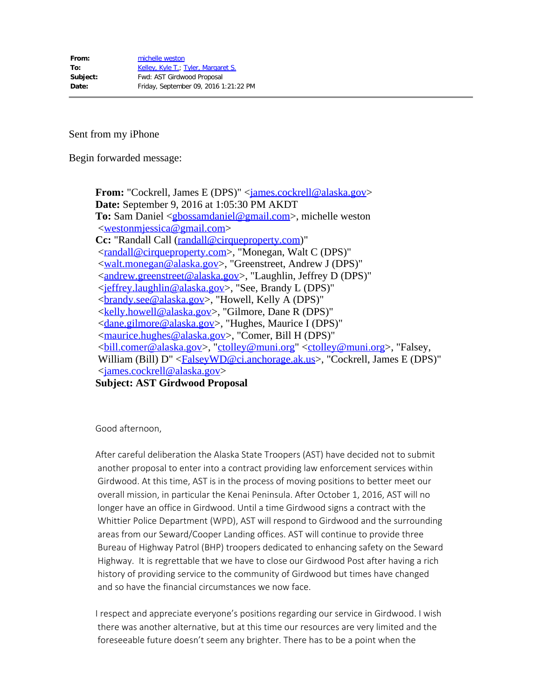Sent from my iPhone

Begin forwarded message:

**From:** "Cockrell, James E (DPS)" <**james.cockrell@alaska.gov> Date:** September 9, 2016 at 1:05:30 PM AKDT **To:** Sam Daniel <<u>gbossamdaniel@gmail.com</u>>, michelle weston <[westonmjessica@gmail.com](mailto:westonmjessica@gmail.com)> **Cc:** "Randall Call [\(randall@cirqueproperty.com](mailto:randall@cirqueproperty.com))" <[randall@cirqueproperty.com](mailto:randall@cirqueproperty.com)>, "Monegan, Walt C (DPS)" <[walt.monegan@alaska.gov](mailto:walt.monegan@alaska.gov)>, "Greenstreet, Andrew J (DPS)" <[andrew.greenstreet@alaska.gov](mailto:andrew.greenstreet@alaska.gov)>, "Laughlin, Jeffrey D (DPS)" <[jeffrey.laughlin@alaska.gov](mailto:jeffrey.laughlin@alaska.gov)>, "See, Brandy L (DPS)" <[brandy.see@alaska.gov](mailto:brandy.see@alaska.gov)>, "Howell, Kelly A (DPS)" <[kelly.howell@alaska.gov>](mailto:kelly.howell@alaska.gov), "Gilmore, Dane R (DPS)" <[dane.gilmore@alaska.gov>](mailto:dane.gilmore@alaska.gov), "Hughes, Maurice I (DPS)" <[maurice.hughes@alaska.gov](mailto:maurice.hughes@alaska.gov)>, "Comer, Bill H (DPS)" <[bill.comer@alaska.gov>](mailto:bill.comer@alaska.gov), ["ctolley@muni.org](mailto:ctolley@muni.org)" [<ctolley@muni.org](mailto:ctolley@muni.org)>, "Falsey, William (Bill) D" <**FalseyWD@ci.anchorage.ak.us**>, "Cockrell, James E (DPS)" <[james.cockrell@alaska.gov](mailto:james.cockrell@alaska.gov)>

**Subject: AST Girdwood Proposal**

Good afternoon,

After careful deliberation the Alaska State Troopers (AST) have decided not to submit another proposal to enter into a contract providing law enforcement services within Girdwood. At this time, AST is in the process of moving positions to better meet our overall mission, in particular the Kenai Peninsula. After October 1, 2016, AST will no longer have an office in Girdwood. Until a time Girdwood signs a contract with the Whittier Police Department (WPD), AST will respond to Girdwood and the surrounding areas from our Seward/Cooper Landing offices. AST will continue to provide three Bureau of Highway Patrol (BHP) troopers dedicated to enhancing safety on the Seward Highway. It is regrettable that we have to close our Girdwood Post after having a rich history of providing service to the community of Girdwood but times have changed and so have the financial circumstances we now face.

I respect and appreciate everyone's positions regarding our service in Girdwood. I wish there was another alternative, but at this time our resources are very limited and the foreseeable future doesn't seem any brighter. There has to be a point when the